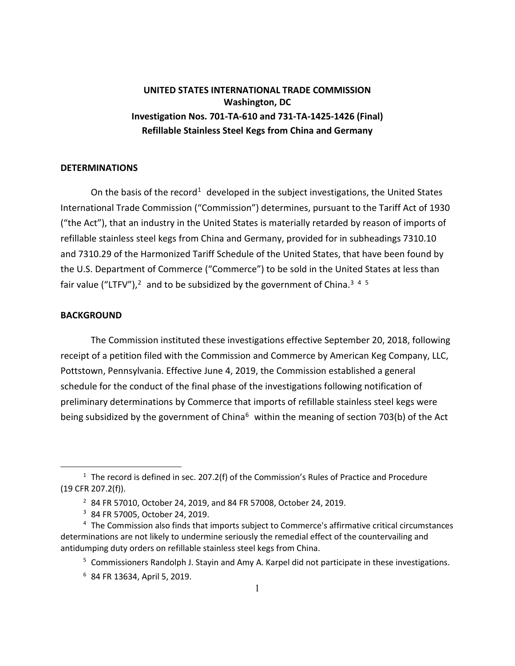## **UNITED STATES INTERNATIONAL TRADE COMMISSION Washington, DC Investigation Nos. 701-TA-610 and 731-TA-1425-1426 (Final) Refillable Stainless Steel Kegs from China and Germany**

## **DETERMINATIONS**

On the basis of the record<sup>[1](#page-0-0)</sup> developed in the subject investigations, the United States International Trade Commission ("Commission") determines, pursuant to the Tariff Act of 1930 ("the Act"), that an industry in the United States is materially retarded by reason of imports of refillable stainless steel kegs from China and Germany, provided for in subheadings 7310.10 and 7310.29 of the Harmonized Tariff Schedule of the United States, that have been found by the U.S. Department of Commerce ("Commerce") to be sold in the United States at less than fair value ("LTFV"),<sup>[2](#page-0-1)</sup> and to be subsidized by the government of China.<sup>[3](#page-0-2)[4](#page-0-3)[5](#page-0-4)</sup>

## **BACKGROUND**

 $\overline{a}$ 

The Commission instituted these investigations effective September 20, 2018, following receipt of a petition filed with the Commission and Commerce by American Keg Company, LLC, Pottstown, Pennsylvania. Effective June 4, 2019, the Commission established a general schedule for the conduct of the final phase of the investigations following notification of preliminary determinations by Commerce that imports of refillable stainless steel kegs were being subsidized by the government of China<sup>[6](#page-0-5)</sup> within the meaning of section 703(b) of the Act

<span id="page-0-1"></span><span id="page-0-0"></span> $1$  The record is defined in sec. 207.2(f) of the Commission's Rules of Practice and Procedure (19 CFR 207.2(f)).

<sup>2</sup> 84 FR 57010, October 24, 2019, and 84 FR 57008, October 24, 2019.

<sup>3</sup> 84 FR 57005, October 24, 2019.

<span id="page-0-5"></span><span id="page-0-4"></span><span id="page-0-3"></span><span id="page-0-2"></span><sup>4</sup> The Commission also finds that imports subject to Commerce's affirmative critical circumstances determinations are not likely to undermine seriously the remedial effect of the countervailing and antidumping duty orders on refillable stainless steel kegs from China.

<sup>&</sup>lt;sup>5</sup> Commissioners Randolph J. Stayin and Amy A. Karpel did not participate in these investigations.

<sup>6</sup> 84 FR 13634, April 5, 2019.